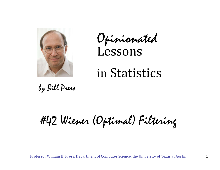

Opinionated Lessons

# in Statistics

by Bill Press

#42 Wiener (Optimal) Filtering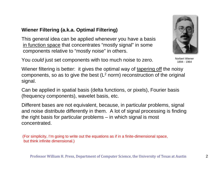# **Wiener Filtering (a.k.a. Optimal Filtering)**

This general idea can be applied whenever you have a basis in function space that concentrates "mostly signal" in some components relative to "mostly noise" in others.

You *could* just set components with too much noise to zero.

Wiener filtering is better: it gives the optimal way of tapering off the noisy components, so as to give the best  $(L<sup>2</sup>$  norm) reconstruction of the original signal.

Can be applied in spatial basis (delta functions, or pixels), Fourier basis (frequency components), wavelet basis, etc.

Different bases are not equivalent, because, in particular problems, signal and noise distribute differently in them. A lot of signal processing is finding the right basis for particular problems – in which signal is most concentrated.

(For simplicity, I'm going to write out the equations as if in a finite-dimensional space, but think infinite dimensional.)

Norbert Wiener

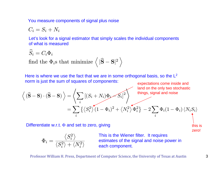You measure components of signal plus noise

$$
C_i = S_i + N_i
$$

 $\overline{\phantom{a}}$ 

Let's look for a signal estimator that simply scales the individual components of what is measured

$$
\widehat{S}_i = C_i \Phi_i
$$
 find the  $\Phi_i$ s that minimize  $\langle |\widehat{\mathbf{S}} - \mathbf{S}|^2 \rangle$ 

Here is where we use the fact that we are in some orthogonal basis, so the  $L^2$ norm is just the sum of squares of components: expectations come inside and

$$
\left\langle (\widehat{\mathbf{S}} - \mathbf{S}) \cdot (\widehat{\mathbf{S}} - \mathbf{S}) \right\rangle = \left\langle \sum_{i} \left[ (S_i + N_i) \Phi_i - S_i \right]^2 \right\rangle
$$
 land on the only two stochastic  
things, signal and noise  

$$
= \sum_{i} \left\{ \left\langle S_i^2 \right\rangle (1 - \Phi_i)^2 + \left\langle N_i^2 \right\rangle \Phi_i^2 \right\} - 2 \sum_{i} \Phi_i (1 - \Phi_i) \left\langle N_i S_i \right\rangle
$$

Differentiate w.r.t.  $\Phi$  and set to zero, giving

$$
\Phi_i = \frac{\left\langle S_i^2 \right\rangle} {\left\langle S_i^2 \right\rangle + \left\langle N_i^2 \right\rangle} \qquad \begin{array}{c} \text{Th} \\ \text{es} \\ \text{ea} \end{array}
$$

is is the Wiener filter. It requires timates of the signal and noise power in ch component.

#### Professor William H. Press, Department of Computer Science, the University of Texas at Austin 3

this is zero!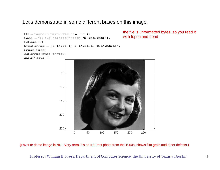Let's demonstrate in some different bases on this image:

```
IN = \text{fopen}('image - \text{face. raw'}</math>, 'r')face = flipud(reshape(fread(IN), 256, 256)');
fclose(IN);
bwcolormap = [0:1/256:1; 0:1/256:1; 0:1/256:1]';
image(face)
colormap(bwcolormap);
axis('equal')
```
the file is unformatted bytes, so you read it with fopen and fread



(Favorite demo image in NR. Very retro, it's an IRE test photo from the 1950s, shows film grain and other defects.)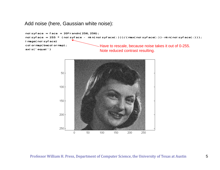## Add noise (here, Gaussian white noise):

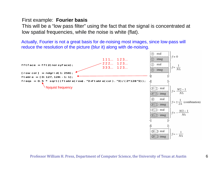## First example: **Fourier basis**

This will be a "low pass filter" using the fact that the signal is concentrated at low spatial frequencies, while the noise is white (flat).

Actually, Fourier is not a great basis for de-noising most images, since low-pass will reduce the resolution of the picture (blur it) along with de-noising.

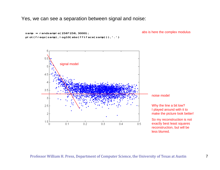Yes, we can see a separation between signal and noise:



abs is here the complex modulus

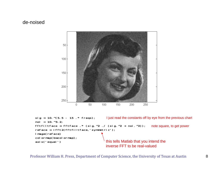## de-noised



```
sig = 10. (5.5 - 15. * freqs);
noi = 10.^{\circ}3.2;
fftfiltface = fftface \cdot * (sig.^2 \cdot / (sig.^2 + noi.^2));
reface = ifft2(fftfi|tface,'symmetric');image(reface)
colormap(bwcolormap);
axis('equal')
                                         I just read the constants off by eye from the previous chart
                                                                    note square, to get power
                                         this tells Matlab that you intend the 
                                         inverse FFT to be real-valued
```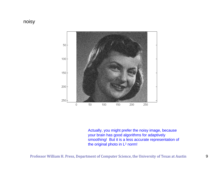## noisy



Actually, you might prefer the noisy image, because your brain has good algorithms for adaptively smoothing! But it is a less accurate representation of the original photo in L<sup>2</sup> norm!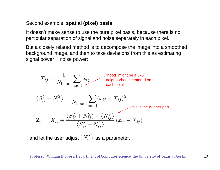## Second example: **spatial (pixel) basis**

It doesn't make sense to use the pure pixel basis, because there is no particular separation of signal and noise separately in each pixel.

But a closely related method is to decompose the image into a smoothed background image, and then to take deviations from this as estimating signal power + noise power:



and let the user adjust  $\langle N_{ij}^2 \rangle$  as a parameter.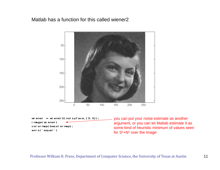## Matlab has a function for this called wiener2



wiener = wiener2(noisyface,  $[5,5]$ ); i mage(wiener) colormap(bwcolormap); axis('equal')

you can put your noise estimate as another argument, or you can let Matlab estimate it as some kind of heuristic minimum of values seen for  $S^2 + N^2$  over the image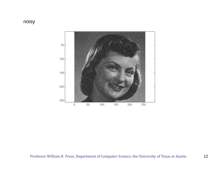# noisy

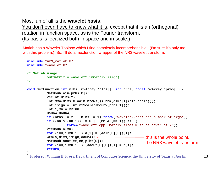Most fun of all is the **wavelet basis**.

}

You don't even have to know what it is, except that it is an (orthogonal) rotation in function space, as is the Fourier transform. (Its basis is localized both in space and in scale.)

Matlab has a Wavelet Toolbox which I find completely incomprehensible! (I'm sure it's only me with this problem.) So, I'll do a mexfunction wrapper of the NR3 wavelet transform.

```
#include "nr3_matlab.h"
#include "wavelet.h"
/* Matlab usage:
          outmatrix = wavelet2(inmatrix,isign)*/
void mexFunction(int nlhs, mxArray *plhs[], int nrhs, const mxArray *prhs[]) {
          MatDoub ain(prhs[0]);
          VecInt dims(2);
          Int mm=(dims[0]=ain.nrows()), nn=(dims[1]=ain.ncols());Int isign = Int(mxScalar<Doub>(prhs[1]));
          Int i, mn = mm*nn;
           Daub4 daub4;if (nrhs != 2 || nlhs != 1) throw("wavelet2.cpp: bad number of args");
          if (\text{nn } \& (\text{nn}-1)) := 0 || (\text{mm } \& (\text{mm}-1)) := 0)throw("wavelet2.cpp: matrix sizes must be power of 2");
           VecDoub a(mn);
          for (i=0 \text{ } i < mn; i++) a[i] = (\text{gain}[0][0])[i];wtn(a,dims,isign,daub4); \leftarrowMatDoub aout(mm,nn,plhs[0]);
          for (i=0:i<mn:i++) (\&aout[0][0])[i] = a[i];return;this is the whole point, 
                                                                the NR3 wavelet transform
```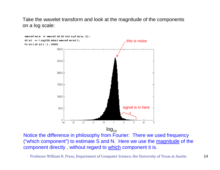Take the wavelet transform and look at the magnitude of the components on a log scale:



Notice the difference in philosophy from Fourier: There we used frequency ("which component") to estimate S and N. Here we use the magnitude of the component directly , without regard to which component it is.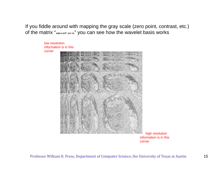If you fiddle around with mapping the gray scale (zero point, contrast, etc.) of the matrix "waveface" you can see how the wavelet basis works

> low resolution information is in this corner

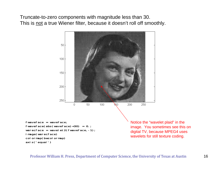Truncate-to-zero components with magnitude less than 30. This is not a true Wiener filter, because it doesn't roll off smoothly.

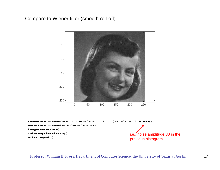## Compare to Wiener filter (smooth roll-off)

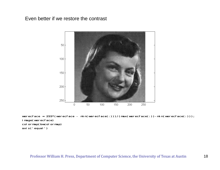### Even better if we restore the contrast



werecface =  $255*(\text{wercface - mi n}(\text{wercface}(:)))/(\text{max}(\text{wercface}(:))) - \text{mi n}(\text{wercface}(:)))$ ; image(werecface) col ormap(bwcol ormap) axis('equal')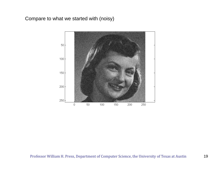## Compare to what we started with (noisy)